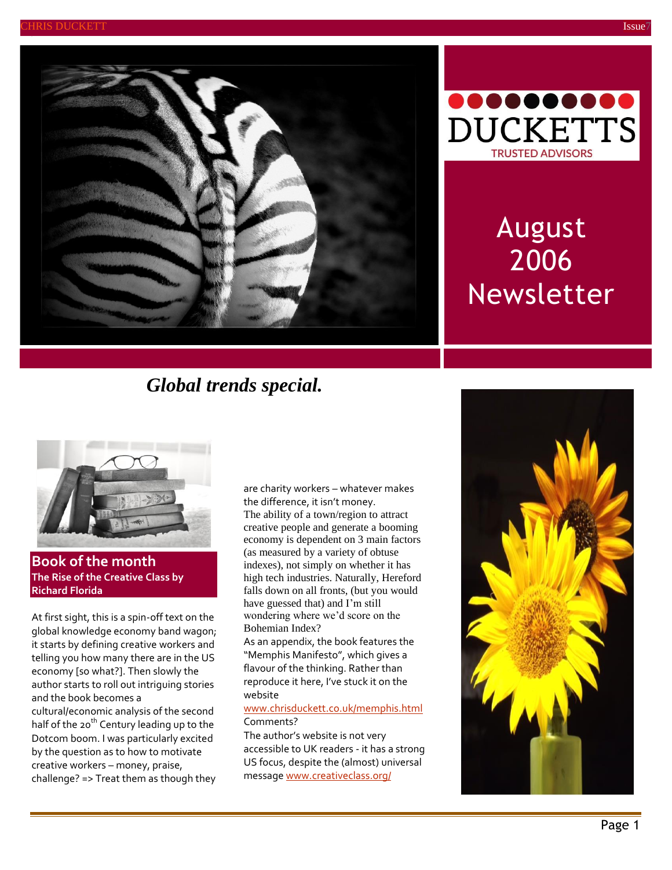



# August 2006 Newsletter

## *Global trends special.*



**Book of the month The Rise of the Creative Class by Richard Florida**

At first sight, this is a spin-off text on the global knowledge economy band wagon; it starts by defining creative workers and telling you how many there are in the US economy [so what?]. Then slowly the author starts to roll out intriguing stories and the book becomes a

cultural/economic analysis of the second half of the 20<sup>th</sup> Century leading up to the Dotcom boom. I was particularly excited by the question as to how to motivate creative workers – money, praise, challenge? => Treat them as though they

are charity workers – whatever makes the difference, it isn't money. The ability of a town/region to attract creative people and generate a booming economy is dependent on 3 main factors (as measured by a variety of obtuse indexes), not simply on whether it has high tech industries. Naturally, Hereford falls down on all fronts, (but you would have guessed that) and I'm still wondering where we'd score on the Bohemian Index?

As an appendix, the book features the "Memphis Manifesto", which gives a flavour of the thinking. Rather than reproduce it here, I've stuck it on the website

#### [www.chrisduckett.co.uk/memphis.html](http://www.chrisduckett.co.uk/memphis.html) Comments?

The author's website is not very accessible to UK readers - it has a strong US focus, despite the (almost) universal messag[e www.creativeclass.org/](http://www.creativeclass.org/)

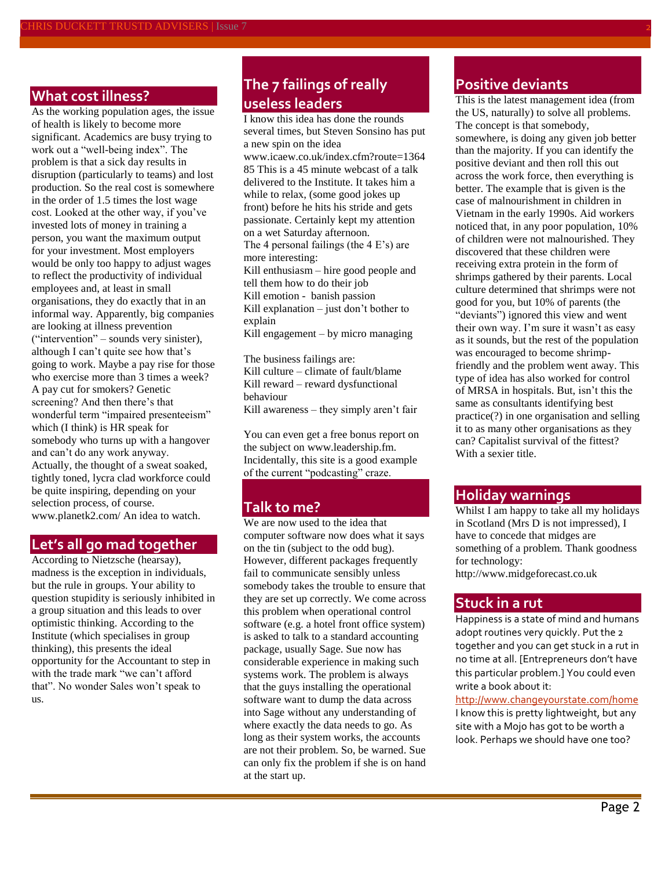## **What cost illness?**

As the working population ages, the issue of health is likely to become more significant. Academics are busy trying to work out a "well-being index". The problem is that a sick day results in disruption (particularly to teams) and lost production. So the real cost is somewhere in the order of 1.5 times the lost wage cost. Looked at the other way, if you've invested lots of money in training a person, you want the maximum output for your investment. Most employers would be only too happy to adjust wages to reflect the productivity of individual employees and, at least in small organisations, they do exactly that in an informal way. Apparently, big companies are looking at illness prevention ("intervention" – sounds very sinister), although I can't quite see how that's going to work. Maybe a pay rise for those who exercise more than 3 times a week? A pay cut for smokers? Genetic screening? And then there's that wonderful term "impaired presenteeism" which (I think) is HR speak for somebody who turns up with a hangover and can't do any work anyway. Actually, the thought of a sweat soaked, tightly toned, lycra clad workforce could be quite inspiring, depending on your selection process, of course. [www.planetk2.com/](http://www.planetk2.com/) An idea to watch.

## **Let's all go mad together**

According to Nietzsche (hearsay), madness is the exception in individuals, but the rule in groups. Your ability to question stupidity is seriously inhibited in a group situation and this leads to over optimistic thinking. According to the Institute (which specialises in group thinking), this presents the ideal opportunity for the Accountant to step in with the trade mark "we can't afford that". No wonder Sales won't speak to us.

## **The 7 failings of really useless leaders**

I know this idea has done the rounds several times, but Steven Sonsino has put a new spin on the idea [www.icaew.co.uk/index.cfm?route=1364](http://www.icaew.co.uk/index.cfm?route=136485) [85](http://www.icaew.co.uk/index.cfm?route=136485) This is a 45 minute webcast of a talk delivered to the Institute. It takes him a while to relax, (some good jokes up front) before he hits his stride and gets passionate. Certainly kept my attention on a wet Saturday afternoon. The 4 personal failings (the 4 E's) are more interesting: Kill enthusiasm – hire good people and tell them how to do their job Kill emotion - banish passion Kill explanation – just don't bother to explain Kill engagement – by micro managing

The business failings are: Kill culture – climate of fault/blame Kill reward – reward dysfunctional behaviour Kill awareness – they simply aren't fair

You can even get a free bonus report on the subject on [www.leadership.fm.](http://www.leadership.fm/) Incidentally, this site is a good example of the current "podcasting" craze.

## **Talk to me?**

We are now used to the idea that computer software now does what it says on the tin (subject to the odd bug). However, different packages frequently fail to communicate sensibly unless somebody takes the trouble to ensure that they are set up correctly. We come across this problem when operational control software (e.g. a hotel front office system) is asked to talk to a standard accounting package, usually Sage. Sue now has considerable experience in making such systems work. The problem is always that the guys installing the operational software want to dump the data across into Sage without any understanding of where exactly the data needs to go. As long as their system works, the accounts are not their problem. So, be warned. Sue can only fix the problem if she is on hand at the start up.

## **Positive deviants**

This is the latest management idea (from the US, naturally) to solve all problems. The concept is that somebody, somewhere, is doing any given job better than the majority. If you can identify the positive deviant and then roll this out across the work force, then everything is better. The example that is given is the case of malnourishment in children in Vietnam in the early 1990s. Aid workers noticed that, in any poor population, 10% of children were not malnourished. They discovered that these children were receiving extra protein in the form of shrimps gathered by their parents. Local culture determined that shrimps were not good for you, but 10% of parents (the "deviants") ignored this view and went their own way. I'm sure it wasn't as easy as it sounds, but the rest of the population was encouraged to become shrimpfriendly and the problem went away. This type of idea has also worked for control of MRSA in hospitals. But, isn't this the same as consultants identifying best practice(?) in one organisation and selling it to as many other organisations as they can? Capitalist survival of the fittest? With a sexier title.

### **Holiday warnings**

Whilst I am happy to take all my holidays in Scotland (Mrs D is not impressed), I have to concede that midges are something of a problem. Thank goodness for technology:

[http://www.midgeforecast.co.uk](http://www.midgeforecast.co.uk/)

#### **Stuck in a rut**

Happiness is a state of mind and humans adopt routines very quickly. Put the 2 together and you can get stuck in a rut in no time at all. [Entrepreneurs don't have this particular problem.] You could even write a book about it:

<http://www.changeyourstate.com/home> I know this is pretty lightweight, but any site with a Mojo has got to be worth a look. Perhaps we should have one too?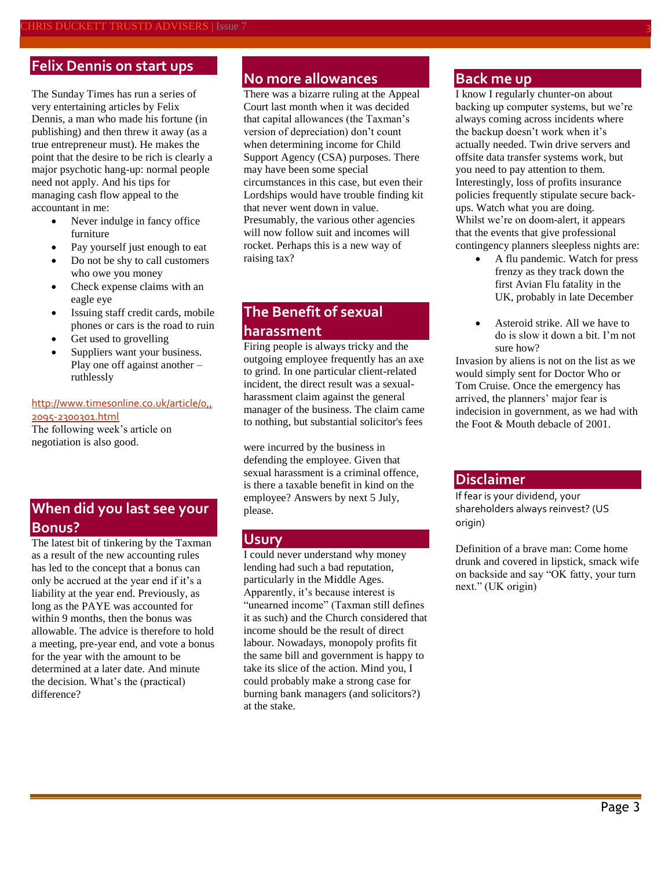## **Felix Dennis on start ups**

The Sunday Times has run a series of very entertaining articles by Felix Dennis, a man who made his fortune (in publishing) and then threw it away (as a true entrepreneur must). He makes the point that the desire to be rich is clearly a major psychotic hang-up: normal people need not apply. And his tips for managing cash flow appeal to the accountant in me:

- Never indulge in fancy office furniture
- Pay yourself just enough to eat
- Do not be shy to call customers who owe you money
- Check expense claims with an eagle eye
- Issuing staff credit cards, mobile phones or cars is the road to ruin
- Get used to grovelling
- Suppliers want your business. Play one off against another – ruthlessly

#### [http://www.timesonline.co.uk/article/0,,](http://www.timesonline.co.uk/article/0,,2095-2300301.html) [2095-2300301.html](http://www.timesonline.co.uk/article/0,,2095-2300301.html)

The following week's article on negotiation is also good.

## **When did you last see your Bonus?**

The latest bit of tinkering by the Taxman as a result of the new accounting rules has led to the concept that a bonus can only be accrued at the year end if it's a liability at the year end. Previously, as long as the PAYE was accounted for within 9 months, then the bonus was allowable. The advice is therefore to hold a meeting, pre-year end, and vote a bonus for the year with the amount to be determined at a later date. And minute the decision. What's the (practical) difference?

## **No more allowances**

There was a bizarre ruling at the Appeal Court last month when it was decided that capital allowances (the Taxman's version of depreciation) don't count when determining income for Child Support Agency (CSA) purposes. There may have been some special circumstances in this case, but even their Lordships would have trouble finding kit that never went down in value. Presumably, the various other agencies will now follow suit and incomes will rocket. Perhaps this is a new way of raising tax?

## **The Benefit of sexual harassment**

Firing people is always tricky and the outgoing employee frequently has an axe to grind. In one particular client-related incident, the direct result was a sexualharassment claim against the general manager of the business. The claim came to nothing, but substantial solicitor's fees

were incurred by the business in defending the employee. Given that sexual harassment is a criminal offence, is there a taxable benefit in kind on the employee? Answers by next 5 July, please.

#### **Usury**

I could never understand why money lending had such a bad reputation, particularly in the Middle Ages. Apparently, it's because interest is "unearned income" (Taxman still defines it as such) and the Church considered that income should be the result of direct labour. Nowadays, monopoly profits fit the same bill and government is happy to take its slice of the action. Mind you, I could probably make a strong case for burning bank managers (and solicitors?) at the stake.

### **Back me up**

I know I regularly chunter-on about backing up computer systems, but we're always coming across incidents where the backup doesn't work when it's actually needed. Twin drive servers and offsite data transfer systems work, but you need to pay attention to them. Interestingly, loss of profits insurance policies frequently stipulate secure backups. Watch what you are doing. Whilst we're on doom-alert, it appears that the events that give professional contingency planners sleepless nights are:

- A flu pandemic. Watch for press frenzy as they track down the first Avian Flu fatality in the UK, probably in late December
- Asteroid strike. All we have to do is slow it down a bit. I'm not sure how?

Invasion by aliens is not on the list as we would simply sent for Doctor Who or Tom Cruise. Once the emergency has arrived, the planners' major fear is indecision in government, as we had with the Foot & Mouth debacle of 2001.

### **Disclaimer**

If fear is your dividend, your shareholders always reinvest? (US origin)

Definition of a brave man: Come home drunk and covered in lipstick, smack wife on backside and say "OK fatty, your turn next." (UK origin)